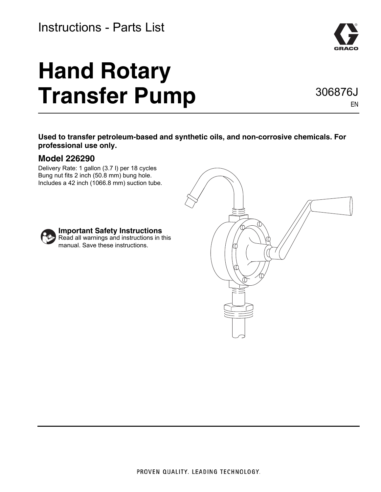#### Instructions - Parts List

# **Hand Rotary Transfer Pump**



306876J

EN

**Used to transfer petroleum-based and synthetic oils, and non-corrosive chemicals. For professional use only.**

#### **Model 226290**

Delivery Rate: 1 gallon (3.7 l) per 18 cycles Bung nut fits 2 inch (50.8 mm) bung hole. Includes a 42 inch (1066.8 mm) suction tube.



#### **Important Safety Instructions**

Read all warnings and instructions in this manual. Save these instructions.

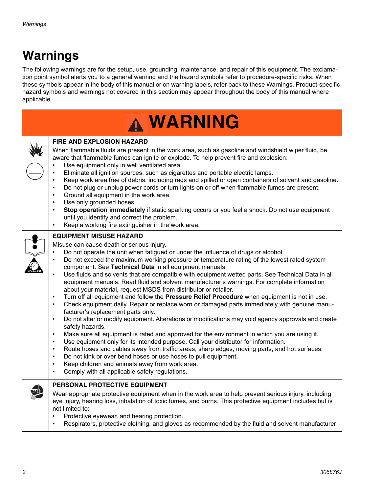# **Warnings**

The following warnings are for the setup, use, grounding, maintenance, and repair of this equipment. The exclamation point symbol alerts you to a general warning and the hazard symbols refer to procedure-specific risks. When these symbols appear in the body of this manual or on warning labels, refer back to these Warnings. Product-specific hazard symbols and warnings not covered in this section may appear throughout the body of this manual where applicable.

| <b>A WARNING</b> |                                                                                                                                                                                                                                                                                                                                                                                                                                                                                                                                                                                                                                                                                                                                                                                                                                                                                                                                                                                                                                                                                                                                                                                                                                                                                                                                                                                                                                                                                                                                                                                               |  |
|------------------|-----------------------------------------------------------------------------------------------------------------------------------------------------------------------------------------------------------------------------------------------------------------------------------------------------------------------------------------------------------------------------------------------------------------------------------------------------------------------------------------------------------------------------------------------------------------------------------------------------------------------------------------------------------------------------------------------------------------------------------------------------------------------------------------------------------------------------------------------------------------------------------------------------------------------------------------------------------------------------------------------------------------------------------------------------------------------------------------------------------------------------------------------------------------------------------------------------------------------------------------------------------------------------------------------------------------------------------------------------------------------------------------------------------------------------------------------------------------------------------------------------------------------------------------------------------------------------------------------|--|
|                  | <b>FIRE AND EXPLOSION HAZARD</b><br>When flammable fluids are present in the work area, such as gasoline and windshield wiper fluid, be<br>aware that flammable fumes can ignite or explode. To help prevent fire and explosion:<br>Use equipment only in well ventilated area.<br>Eliminate all ignition sources, such as cigarettes and portable electric lamps.<br>Keep work area free of debris, including rags and spilled or open containers of solvent and gasoline.<br>Do not plug or unplug power cords or turn lights on or off when flammable fumes are present.<br>$\bullet$<br>Ground all equipment in the work area.<br>$\bullet$<br>Use only grounded hoses.<br>Stop operation immediately if static sparking occurs or you feel a shock. Do not use equipment<br>$\bullet$<br>until you identify and correct the problem.<br>Keep a working fire extinguisher in the work area.<br>$\bullet$                                                                                                                                                                                                                                                                                                                                                                                                                                                                                                                                                                                                                                                                                  |  |
|                  | <b>EQUIPMENT MISUSE HAZARD</b><br>Misuse can cause death or serious injury.<br>Do not operate the unit when fatigued or under the influence of drugs or alcohol.<br>$\bullet$<br>Do not exceed the maximum working pressure or temperature rating of the lowest rated system<br>$\bullet$<br>component. See Technical Data in all equipment manuals.<br>Use fluids and solvents that are compatible with equipment wetted parts. See Technical Data in all<br>$\bullet$<br>equipment manuals. Read fluid and solvent manufacturer's warnings. For complete information<br>about your material, request MSDS from distributor or retailer.<br>Turn off all equipment and follow the Pressure Relief Procedure when equipment is not in use.<br>$\bullet$<br>Check equipment daily. Repair or replace worn or damaged parts immediately with genuine manu-<br>$\bullet$<br>facturer's replacement parts only.<br>Do not alter or modify equipment. Alterations or modifications may void agency approvals and create<br>$\bullet$<br>safety hazards.<br>Make sure all equipment is rated and approved for the environment in which you are using it.<br>$\bullet$<br>Use equipment only for its intended purpose. Call your distributor for information.<br>$\bullet$<br>Route hoses and cables away from traffic areas, sharp edges, moving parts, and hot surfaces.<br>$\bullet$<br>Do not kink or over bend hoses or use hoses to pull equipment.<br>$\bullet$<br>Keep children and animals away from work area.<br>$\bullet$<br>Comply with all applicable safety regulations.<br>$\bullet$ |  |
|                  | PERSONAL PROTECTIVE EQUIPMENT<br>Wear appropriate protective equipment when in the work area to help prevent serious injury, including<br>eye injury, hearing loss, inhalation of toxic fumes, and burns. This protective equipment includes but is<br>not limited to:<br>Protective eyewear, and hearing protection.<br>Respirators, protective clothing, and gloves as recommended by the fluid and solvent manufacturer                                                                                                                                                                                                                                                                                                                                                                                                                                                                                                                                                                                                                                                                                                                                                                                                                                                                                                                                                                                                                                                                                                                                                                    |  |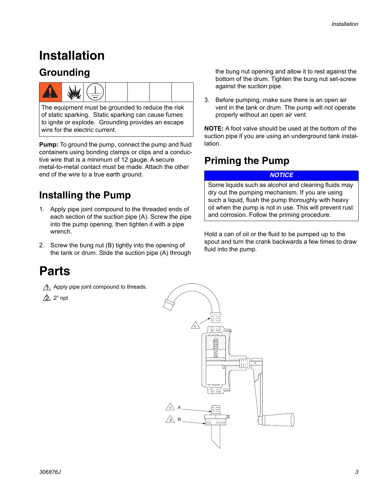## **Installation**

#### **Grounding**



The equipment must be grounded to reduce the risk of static sparking. Static sparking can cause fumes to ignite or explode. Grounding provides an escape wire for the electric current.

**Pump:** To ground the pump, connect the pump and fluid containers using bonding clamps or clips and a conductive wire that is a minimum of 12 gauge. A secure metal-to-metal contact must be made. Attach the other end of the wire to a true earth ground.

#### **Installing the Pump**

- 1. Apply pipe joint compound to the threaded ends of each section of the suction pipe (A). Screw the pipe into the pump opening, then tighten it with a pipe wrench.
- 2. Screw the bung nut (B) tightly into the opening of the tank or drum. Slide the suction pipe (A) through

#### **Parts**

- $\land$  Apply pipe joint compound to threads.
- $\triangle$  2" npt

the bung nut opening and allow it to rest against the bottom of the drum. Tighten the bung nut set-screw against the suction pipe.

3. Before pumping, make sure there is an open air vent in the tank or drum. The pump will not operate properly without an open air vent.

**NOTE:** A foot valve should be used at the bottom of the suction pipe if you are using an underground tank installation.

#### **Priming the Pump**

#### *NOTICE*

Some liquids such as alcohol and cleaning fluids may dry out the pumping mechanism. If you are using such a liquid, flush the pump thoroughly with heavy oil when the pump is not in use. This will prevent rust and corrosion. Follow the priming procedure.

Hold a can of oil or the fluid to be pumped up to the spout and turn the crank backwards a few times to draw fluid into the pump.